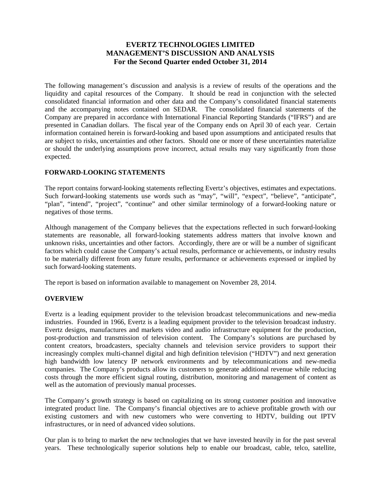# **EVERTZ TECHNOLOGIES LIMITED MANAGEMENT'S DISCUSSION AND ANALYSIS For the Second Quarter ended October 31, 2014**

The following management's discussion and analysis is a review of results of the operations and the liquidity and capital resources of the Company. It should be read in conjunction with the selected consolidated financial information and other data and the Company's consolidated financial statements and the accompanying notes contained on SEDAR. The consolidated financial statements of the Company are prepared in accordance with International Financial Reporting Standards ("IFRS") and are presented in Canadian dollars. The fiscal year of the Company ends on April 30 of each year. Certain information contained herein is forward-looking and based upon assumptions and anticipated results that are subject to risks, uncertainties and other factors. Should one or more of these uncertainties materialize or should the underlying assumptions prove incorrect, actual results may vary significantly from those expected.

### **FORWARD-LOOKING STATEMENTS**

The report contains forward-looking statements reflecting Evertz's objectives, estimates and expectations. Such forward-looking statements use words such as "may", "will", "expect", "believe", "anticipate", "plan", "intend", "project", "continue" and other similar terminology of a forward-looking nature or negatives of those terms.

Although management of the Company believes that the expectations reflected in such forward-looking statements are reasonable, all forward-looking statements address matters that involve known and unknown risks, uncertainties and other factors. Accordingly, there are or will be a number of significant factors which could cause the Company's actual results, performance or achievements, or industry results to be materially different from any future results, performance or achievements expressed or implied by such forward-looking statements.

The report is based on information available to management on November 28, 2014.

### **OVERVIEW**

Evertz is a leading equipment provider to the television broadcast telecommunications and new-media industries. Founded in 1966, Evertz is a leading equipment provider to the television broadcast industry. Evertz designs, manufactures and markets video and audio infrastructure equipment for the production, post-production and transmission of television content. The Company's solutions are purchased by content creators, broadcasters, specialty channels and television service providers to support their increasingly complex multi-channel digital and high definition television ("HDTV") and next generation high bandwidth low latency IP network environments and by telecommunications and new-media companies. The Company's products allow its customers to generate additional revenue while reducing costs through the more efficient signal routing, distribution, monitoring and management of content as well as the automation of previously manual processes.

The Company's growth strategy is based on capitalizing on its strong customer position and innovative integrated product line. The Company's financial objectives are to achieve profitable growth with our existing customers and with new customers who were converting to HDTV, building out IPTV infrastructures, or in need of advanced video solutions.

Our plan is to bring to market the new technologies that we have invested heavily in for the past several years. These technologically superior solutions help to enable our broadcast, cable, telco, satellite,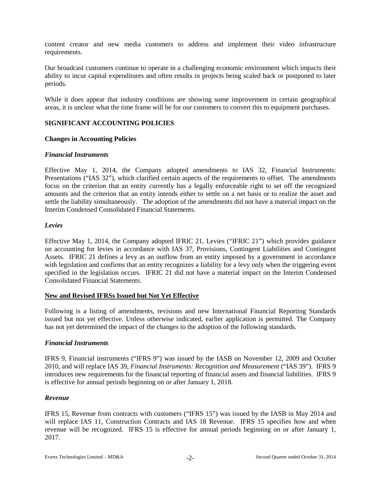content creator and new media customers to address and implement their video infrastructure requirements.

Our broadcast customers continue to operate in a challenging economic environment which impacts their ability to incur capital expenditures and often results in projects being scaled back or postponed to later periods.

While it does appear that industry conditions are showing some improvement in certain geographical areas, it is unclear what the time frame will be for our customers to convert this to equipment purchases.

## **SIGNIFICANT ACCOUNTING POLICIES**

### **Changes in Accounting Policies**

#### *Financial Instruments*

Effective May 1, 2014, the Company adopted amendments to IAS 32, Financial Instruments: Presentations ("IAS 32"), which clarified certain aspects of the requirements to offset. The amendments focus on the criterion that an entity currently has a legally enforceable right to set off the recognized amounts and the criterion that an entity intends either to settle on a net basis or to realize the asset and settle the liability simultaneously. The adoption of the amendments did not have a material impact on the Interim Condensed Consolidated Financial Statements.

#### *Levies*

Effective May 1, 2014, the Company adopted IFRIC 21, Levies ("IFRIC 21") which provides guidance on accounting for levies in accordance with IAS 37, Provisions, Contingent Liabilities and Contingent Assets. IFRIC 21 defines a levy as an outflow from an entity imposed by a government in accordance with legislation and confirms that an entity recognizes a liability for a levy only when the triggering event specified in the legislation occurs. IFRIC 21 did not have a material impact on the Interim Condensed Consolidated Financial Statements.

#### **New and Revised IFRSs Issued but Not Yet Effective**

Following is a listing of amendments, revisions and new International Financial Reporting Standards issued but not yet effective. Unless otherwise indicated, earlier application is permitted. The Company has not yet determined the impact of the changes to the adoption of the following standards.

### *Financial Instruments*

IFRS 9, Financial instruments ("IFRS 9") was issued by the IASB on November 12, 2009 and October 2010, and will replace IAS 39, *Financial Instruments: Recognition and Measurement* ("IAS 39"). IFRS 9 introduces new requirements for the financial reporting of financial assets and financial liabilities. IFRS 9 is effective for annual periods beginning on or after January 1, 2018.

#### *Revenue*

IFRS 15, Revenue from contracts with customers ("IFRS 15") was issued by the IASB in May 2014 and will replace IAS 11, Construction Contracts and IAS 18 Revenue. IFRS 15 specifies how and when revenue will be recognized. IFRS 15 is effective for annual periods beginning on or after January 1, 2017.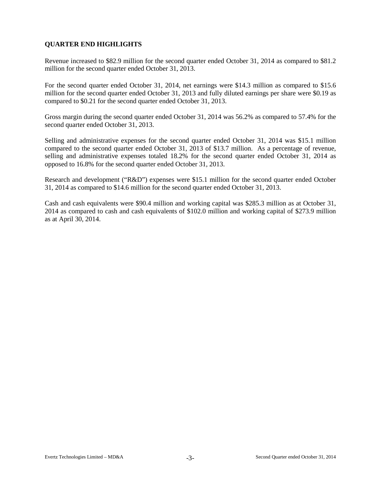# **QUARTER END HIGHLIGHTS**

Revenue increased to \$82.9 million for the second quarter ended October 31, 2014 as compared to \$81.2 million for the second quarter ended October 31, 2013.

For the second quarter ended October 31, 2014, net earnings were \$14.3 million as compared to \$15.6 million for the second quarter ended October 31, 2013 and fully diluted earnings per share were \$0.19 as compared to \$0.21 for the second quarter ended October 31, 2013.

Gross margin during the second quarter ended October 31, 2014 was 56.2% as compared to 57.4% for the second quarter ended October 31, 2013.

Selling and administrative expenses for the second quarter ended October 31, 2014 was \$15.1 million compared to the second quarter ended October 31, 2013 of \$13.7 million. As a percentage of revenue, selling and administrative expenses totaled 18.2% for the second quarter ended October 31, 2014 as opposed to 16.8% for the second quarter ended October 31, 2013.

Research and development ("R&D") expenses were \$15.1 million for the second quarter ended October 31, 2014 as compared to \$14.6 million for the second quarter ended October 31, 2013.

Cash and cash equivalents were \$90.4 million and working capital was \$285.3 million as at October 31, 2014 as compared to cash and cash equivalents of \$102.0 million and working capital of \$273.9 million as at April 30, 2014.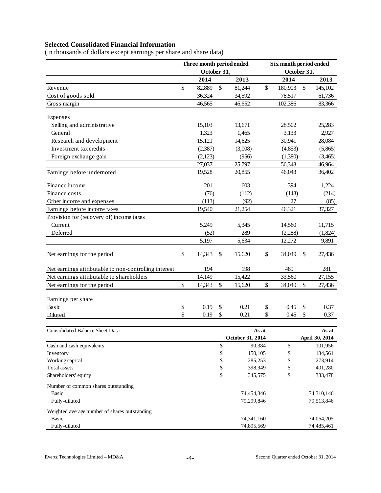# **Selected Consolidated Financial Information**

(in thousands of dollars except earnings per share and share data)

|                                                       | Three month period ended |                  | Six month period ended |             |    |                         |  |  |  |
|-------------------------------------------------------|--------------------------|------------------|------------------------|-------------|----|-------------------------|--|--|--|
|                                                       | October 31,              |                  |                        | October 31, |    |                         |  |  |  |
|                                                       | 2014                     | 2013             |                        | 2014        |    | 2013                    |  |  |  |
| Revenue                                               | \$<br>82,889             | \$<br>81,244     | \$                     | 180,903     | \$ | 145,102                 |  |  |  |
| Cost of goods sold                                    | 36,324                   | 34,592           |                        | 78,517      |    | 61,736                  |  |  |  |
| Gross margin                                          | 46,565                   | 46,652           |                        | 102,386     |    | 83,366                  |  |  |  |
|                                                       |                          |                  |                        |             |    |                         |  |  |  |
| Expenses                                              |                          |                  |                        |             |    |                         |  |  |  |
| Selling and administrative                            | 15,103                   | 13,671           |                        | 28,502      |    | 25,283                  |  |  |  |
| General                                               | 1,323                    | 1,465            |                        | 3,133       |    | 2,927                   |  |  |  |
| Research and development                              | 15,121                   | 14,625           |                        | 30,941      |    | 28,084                  |  |  |  |
| Investment tax credits                                | (2, 387)                 | (3,008)          |                        | (4, 853)    |    | (5,865)                 |  |  |  |
| Foreign exchange gain                                 | (2,123)                  | (956)            |                        | (1,380)     |    | (3,465)                 |  |  |  |
|                                                       | 27,037                   | 25,797           |                        | 56,343      |    | 46,964                  |  |  |  |
| Earnings before undernoted                            | 19,528                   | 20,855           |                        | 46,043      |    | 36,402                  |  |  |  |
| Finance income                                        | 201                      | 603              |                        | 394         |    | 1,224                   |  |  |  |
| Finance costs                                         | (76)                     | (112)            |                        | (143)       |    | (214)                   |  |  |  |
| Other income and expenses                             | (113)                    | (92)             |                        | 27          |    | (85)                    |  |  |  |
| Earnings before income taxes                          | 19,540                   | 21,254           |                        | 46,321      |    | 37,327                  |  |  |  |
| Provision for (recovery of) income taxes              |                          |                  |                        |             |    |                         |  |  |  |
| Current                                               | 5,249                    | 5,345            |                        | 14,560      |    | 11,715                  |  |  |  |
| Deferred                                              | (52)                     | 289              |                        | (2,288)     |    | (1,824)                 |  |  |  |
|                                                       | 5,197                    | 5,634            |                        | 12,272      |    | 9,891                   |  |  |  |
| Net earnings for the period                           | \$<br>14,343             | \$<br>15,620     | \$                     | 34,049      | \$ | 27,436                  |  |  |  |
| Net earnings attributable to non-controlling interest | 194                      | 198              |                        | 489         |    | 281                     |  |  |  |
| Net earnings attributable to shareholders             | 14,149                   | 15,422           |                        | 33,560      |    | 27,155                  |  |  |  |
| Net earnings for the period                           | \$<br>14,343             | \$<br>15,620     | \$                     | 34,049      | \$ | 27,436                  |  |  |  |
|                                                       |                          |                  |                        |             |    |                         |  |  |  |
| Earnings per share                                    |                          |                  |                        |             |    |                         |  |  |  |
| Basic                                                 | \$<br>0.19               | \$<br>0.21       | \$                     | 0.45        | \$ | 0.37                    |  |  |  |
| Diluted                                               | \$<br>0.19               | \$<br>0.21       | \$                     | 0.45        | \$ | 0.37                    |  |  |  |
|                                                       |                          |                  |                        |             |    |                         |  |  |  |
| Consolidated Balance Sheet Data                       |                          | October 31, 2014 | As at                  |             |    | As at<br>April 30, 2014 |  |  |  |
| Cash and cash equivalents                             |                          | \$<br>90,384     |                        | \$          |    | 101,956                 |  |  |  |
| Inventory                                             |                          | \$<br>150,105    |                        | \$          |    | 134,561                 |  |  |  |
| Working capital                                       |                          | \$<br>285,253    |                        | \$          |    | 273,914                 |  |  |  |
| Total assets                                          |                          | \$<br>398,949    |                        | \$          |    | 401,280                 |  |  |  |
| Shareholders' equity                                  |                          | \$<br>345,575    |                        | \$          |    | 333,478                 |  |  |  |
| Number of common shares outstanding:                  |                          |                  |                        |             |    |                         |  |  |  |
| <b>Basic</b>                                          |                          | 74,454,346       |                        |             |    | 74,310,146              |  |  |  |
| Fully-diluted                                         |                          | 79,299,846       |                        |             |    | 79,513,846              |  |  |  |
| Weighted average number of shares outstanding:        |                          |                  |                        |             |    |                         |  |  |  |
| <b>Basic</b>                                          |                          | 74,341,160       |                        |             |    | 74,064,205              |  |  |  |
| Fully-diluted                                         |                          | 74,895,569       |                        |             |    | 74,485,461              |  |  |  |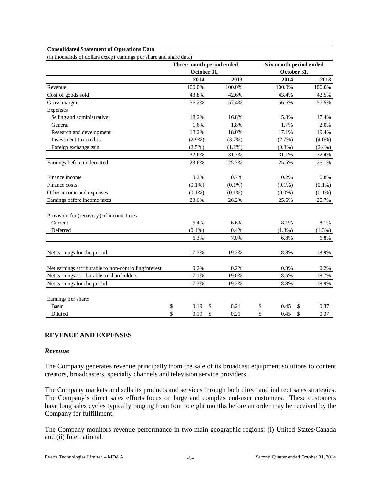#### **Consolidated Statement of Operations Data**

(in thousands of dollars except earnings per share and share data)

|                                                       |             | Three month period ended | Six month period ended |            |
|-------------------------------------------------------|-------------|--------------------------|------------------------|------------|
|                                                       | October 31, |                          | October 31,            |            |
|                                                       | 2014        | 2013                     | 2014                   | 2013       |
| Revenue                                               | 100.0%      | 100.0%                   | 100.0%                 | 100.0%     |
| Cost of goods sold                                    | 43.8%       | 42.6%                    | 43.4%                  | 42.5%      |
| Gross margin                                          | 56.2%       | 57.4%                    | 56.6%                  | 57.5%      |
| Expenses                                              |             |                          |                        |            |
| Selling and administrative                            | 18.2%       | 16.8%                    | 15.8%                  | 17.4%      |
| General                                               | 1.6%        | 1.8%                     | 1.7%                   | 2.0%       |
| Research and development                              | 18.2%       | 18.0%                    | 17.1%                  | 19.4%      |
| Investment tax credits                                | $(2.9\%)$   | $(3.7\%)$                | $(2.7\%)$              | $(4.0\%)$  |
| Foreign exchange gain                                 | $(2.5\%)$   | $(1.2\%)$                | $(0.8\%)$              | $(2.4\%)$  |
|                                                       | 32.6%       | 31.7%                    | 31.1%                  | 32.4%      |
| Earnings before undernoted                            | 23.6%       | 25.7%                    | 25.5%                  | 25.1%      |
| Finance income                                        | 0.2%        | 0.7%                     | 0.2%                   | 0.8%       |
| Finance costs                                         | $(0.1\%)$   | $(0.1\%)$                | $(0.1\%)$              | $(0.1\%)$  |
| Other income and expenses                             | $(0.1\%)$   | $(0.1\%)$                | $(0.0\%)$              | $(0.1\%)$  |
| Earnings before income taxes                          | 23.6%       | 26.2%                    | 25.6%                  | 25.7%      |
| Provision for (recovery) of income taxes              |             |                          |                        |            |
| Current                                               | 6.4%        | 6.6%                     | 8.1%                   | 8.1%       |
| Deferred                                              | $(0.1\%)$   | 0.4%                     | $(1.3\%)$              | (1.3%)     |
|                                                       | 6.3%        | 7.0%                     | 6.8%                   | 6.8%       |
| Net earnings for the period                           | 17.3%       | 19.2%                    | 18.8%                  | 18.9%      |
| Net earnings attributable to non-controlling interest | 0.2%        | 0.2%                     | 0.3%                   | 0.2%       |
| Net earnings attributable to shareholders             | 17.1%       | 19.0%                    | 18.5%                  | 18.7%      |
| Net earnings for the period                           | 17.3%       | 19.2%                    | 18.8%                  | 18.9%      |
| Earnings per share:                                   |             |                          |                        |            |
| <b>Basic</b>                                          | \$<br>0.19  | \$<br>0.21               | \$<br>0.45             | \$<br>0.37 |
| Diluted                                               | \$<br>0.19  | \$<br>0.21               | \$<br>0.45             | \$<br>0.37 |

#### **REVENUE AND EXPENSES**

#### *Revenue*

The Company generates revenue principally from the sale of its broadcast equipment solutions to content creators, broadcasters, specialty channels and television service providers.

The Company markets and sells its products and services through both direct and indirect sales strategies. The Company's direct sales efforts focus on large and complex end-user customers. These customers have long sales cycles typically ranging from four to eight months before an order may be received by the Company for fulfillment.

The Company monitors revenue performance in two main geographic regions: (i) United States/Canada and (ii) International.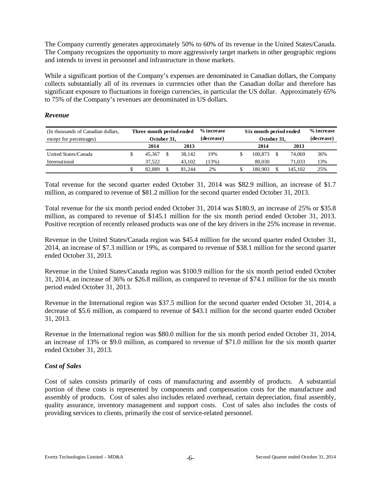The Company currently generates approximately 50% to 60% of its revenue in the United States/Canada. The Company recognizes the opportunity to more aggressively target markets in other geographic regions and intends to invest in personnel and infrastructure in those markets.

While a significant portion of the Company's expenses are denominated in Canadian dollars, the Company collects substantially all of its revenues in currencies other than the Canadian dollar and therefore has significant exposure to fluctuations in foreign currencies, in particular the US dollar. Approximately 65% to 75% of the Company's revenues are denominated in US dollars.

### *Revenue*

| (In thousands of Canadian dollars, | Three month period ended |              |        |            | % increase   | Six month period ended | % increase |         |     |
|------------------------------------|--------------------------|--------------|--------|------------|--------------|------------------------|------------|---------|-----|
| except for percentages)            | October 31,              |              |        | (decrease) | October 31,  | (decrease)             |            |         |     |
|                                    |                          | 2014<br>2013 |        |            | 2013<br>2014 |                        |            |         |     |
| United States/Canada               |                          | 45.367       |        | 38.142     | 19%          | 100.873                |            | 74,069  | 36% |
| International                      |                          | 37.522       | 43.102 |            | (13%)        | 80,030                 |            | 71,033  | 13% |
|                                    |                          | 82.889       |        | 81.244     | 2%           | 180.903                |            | 145.102 | 25% |

Total revenue for the second quarter ended October 31, 2014 was \$82.9 million, an increase of \$1.7 million, as compared to revenue of \$81.2 million for the second quarter ended October 31, 2013.

Total revenue for the six month period ended October 31, 2014 was \$180.9, an increase of 25% or \$35.8 million, as compared to revenue of \$145.1 million for the six month period ended October 31, 2013. Positive reception of recently released products was one of the key drivers in the 25% increase in revenue.

Revenue in the United States/Canada region was \$45.4 million for the second quarter ended October 31, 2014, an increase of \$7.3 million or 19%, as compared to revenue of \$38.1 million for the second quarter ended October 31, 2013.

Revenue in the United States/Canada region was \$100.9 million for the six month period ended October 31, 2014, an increase of 36% or \$26.8 million, as compared to revenue of \$74.1 million for the six month period ended October 31, 2013.

Revenue in the International region was \$37.5 million for the second quarter ended October 31, 2014, a decrease of \$5.6 million, as compared to revenue of \$43.1 million for the second quarter ended October 31, 2013.

Revenue in the International region was \$80.0 million for the six month period ended October 31, 2014, an increase of 13% or \$9.0 million, as compared to revenue of \$71.0 million for the six month quarter ended October 31, 2013.

### *Cost of Sales*

Cost of sales consists primarily of costs of manufacturing and assembly of products. A substantial portion of these costs is represented by components and compensation costs for the manufacture and assembly of products. Cost of sales also includes related overhead, certain depreciation, final assembly, quality assurance, inventory management and support costs. Cost of sales also includes the costs of providing services to clients, primarily the cost of service-related personnel.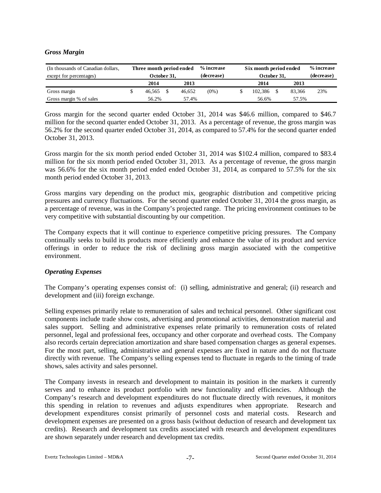### *Gross Margin*

| (In thousands of Canadian dollars,<br>except for percentages) | Three month period ended<br>October 31, |      |        | % increase<br>(decrease) |                | % increase<br>Six month period ended<br>October 31, |        |     |  |  |
|---------------------------------------------------------------|-----------------------------------------|------|--------|--------------------------|----------------|-----------------------------------------------------|--------|-----|--|--|
|                                                               | 2014                                    | 2013 |        |                          | 2014           |                                                     | 2013   |     |  |  |
| Gross margin                                                  | 46.565                                  |      | 46.652 | $(0\%)$                  | 102.386        |                                                     | 83.366 | 23% |  |  |
| Gross margin % of sales                                       | 56.2%                                   |      | 57.4%  |                          | 57.5%<br>56.6% |                                                     |        |     |  |  |

Gross margin for the second quarter ended October 31, 2014 was \$46.6 million, compared to \$46.7 million for the second quarter ended October 31, 2013. As a percentage of revenue, the gross margin was 56.2% for the second quarter ended October 31, 2014, as compared to 57.4% for the second quarter ended October 31, 2013.

Gross margin for the six month period ended October 31, 2014 was \$102.4 million, compared to \$83.4 million for the six month period ended October 31, 2013. As a percentage of revenue, the gross margin was 56.6% for the six month period ended ended October 31, 2014, as compared to 57.5% for the six month period ended October 31, 2013.

Gross margins vary depending on the product mix, geographic distribution and competitive pricing pressures and currency fluctuations. For the second quarter ended October 31, 2014 the gross margin, as a percentage of revenue, was in the Company's projected range. The pricing environment continues to be very competitive with substantial discounting by our competition.

The Company expects that it will continue to experience competitive pricing pressures. The Company continually seeks to build its products more efficiently and enhance the value of its product and service offerings in order to reduce the risk of declining gross margin associated with the competitive environment.

### *Operating Expenses*

The Company's operating expenses consist of: (i) selling, administrative and general; (ii) research and development and (iii) foreign exchange.

Selling expenses primarily relate to remuneration of sales and technical personnel. Other significant cost components include trade show costs, advertising and promotional activities, demonstration material and sales support. Selling and administrative expenses relate primarily to remuneration costs of related personnel, legal and professional fees, occupancy and other corporate and overhead costs. The Company also records certain depreciation amortization and share based compensation charges as general expenses. For the most part, selling, administrative and general expenses are fixed in nature and do not fluctuate directly with revenue. The Company's selling expenses tend to fluctuate in regards to the timing of trade shows, sales activity and sales personnel.

The Company invests in research and development to maintain its position in the markets it currently serves and to enhance its product portfolio with new functionality and efficiencies. Although the Company's research and development expenditures do not fluctuate directly with revenues, it monitors this spending in relation to revenues and adjusts expenditures when appropriate. Research and development expenditures consist primarily of personnel costs and material costs. Research and development expenses are presented on a gross basis (without deduction of research and development tax credits). Research and development tax credits associated with research and development expenditures are shown separately under research and development tax credits.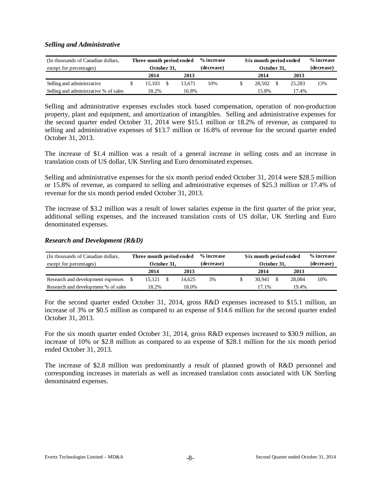#### *Selling and Administrative*

| (In thousands of Canadian dollars,    | Three month period ended |  |        | % increase | Six month period ended | % increase  |            |        |     |
|---------------------------------------|--------------------------|--|--------|------------|------------------------|-------------|------------|--------|-----|
| except for percentages)               | October 31,              |  |        | (decrease) |                        | October 31, | (decrease) |        |     |
|                                       | 2014<br>2013             |  |        |            | 2014                   |             | 2013       |        |     |
| Selling and administrative            | 15.103                   |  | 13.671 | 10%        |                        | 28,502      |            | 25.283 | 13% |
| Selling and administrative % of sales | 18.2%<br>16.8%           |  |        |            |                        | 15.8%       | 17.4%      |        |     |

Selling and administrative expenses excludes stock based compensation, operation of non-production property, plant and equipment, and amortization of intangibles. Selling and administrative expenses for the second quarter ended October 31, 2014 were \$15.1 million or 18.2% of revenue, as compared to selling and administrative expenses of \$13.7 million or 16.8% of revenue for the second quarter ended October 31, 2013.

The increase of \$1.4 million was a result of a general increase in selling costs and an increase in translation costs of US dollar, UK Sterling and Euro denominated expenses.

Selling and administrative expenses for the six month period ended October 31, 2014 were \$28.5 million or 15.8% of revenue, as compared to selling and administrative expenses of \$25.3 million or 17.4% of revenue for the six month period ended October 31, 2013.

The increase of \$3.2 million was a result of lower salaries expense in the first quarter of the prior year, additional selling expenses, and the increased translation costs of US dollar, UK Sterling and Euro denominated expenses.

#### *Research and Development (R&D)*

| (In thousands of Canadian dollars,  | Three month period ended |              |  |        | % increase | Six month period ended | % increase |     |
|-------------------------------------|--------------------------|--------------|--|--------|------------|------------------------|------------|-----|
| except for percentages)             |                          | October 31.  |  |        | (decrease) | October 31.            | (decrease) |     |
|                                     |                          | 2014<br>2013 |  |        |            | 2014                   | 2013       |     |
| Research and development expenses   |                          | 15.121       |  | 14.625 | 3%         | 30.941                 | 28,084     | 10% |
| Research and development % of sales | 18.2%<br>18.0%           |              |  |        | 17.1%      | 19.4%                  |            |     |

For the second quarter ended October 31, 2014, gross R&D expenses increased to \$15.1 million, an increase of 3% or \$0.5 million as compared to an expense of \$14.6 million for the second quarter ended October 31, 2013.

For the six month quarter ended October 31, 2014, gross R&D expenses increased to \$30.9 million, an increase of 10% or \$2.8 million as compared to an expense of \$28.1 million for the six month period ended October 31, 2013.

The increase of \$2.8 million was predominantly a result of planned growth of R&D personnel and corresponding increases in materials as well as increased translation costs associated with UK Sterling denominated expenses.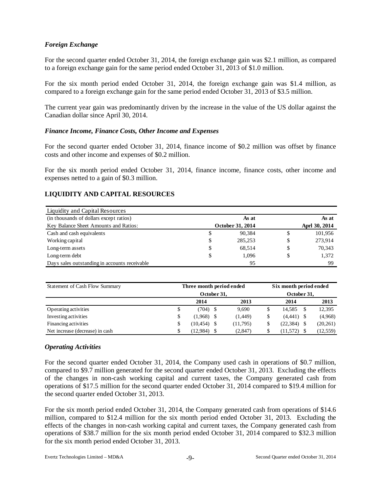## *Foreign Exchange*

For the second quarter ended October 31, 2014, the foreign exchange gain was \$2.1 million, as compared to a foreign exchange gain for the same period ended October 31, 2013 of \$1.0 million.

For the six month period ended October 31, 2014, the foreign exchange gain was \$1.4 million, as compared to a foreign exchange gain for the same period ended October 31, 2013 of \$3.5 million.

The current year gain was predominantly driven by the increase in the value of the US dollar against the Canadian dollar since April 30, 2014.

#### *Finance Income, Finance Costs, Other Income and Expenses*

For the second quarter ended October 31, 2014, finance income of \$0.2 million was offset by finance costs and other income and expenses of \$0.2 million.

For the six month period ended October 31, 2014, finance income, finance costs, other income and expenses netted to a gain of \$0.3 million.

## **LIQUIDITY AND CAPITAL RESOURCES**

| Liquidity and Capital Resources               |                  |               |
|-----------------------------------------------|------------------|---------------|
| (in thousands of dollars except ratios)       | As at            | As at         |
| Key Balance Sheet Amounts and Ratios:         | October 31, 2014 | Aprl 30, 2014 |
| Cash and cash equivalents                     | \$<br>90.384     | \$<br>101,956 |
| Working capital                               | \$<br>285,253    | \$<br>273,914 |
| Long-term assets                              | \$<br>68,514     | \$<br>70,343  |
| Long-term debt                                | \$<br>1.096      | 1,372         |
| Days sales outstanding in accounts receivable | 95               | 99            |

| Statement of Cash Flow Summary  |    | Three month period ended |  | Six month period ended |             |              |  |           |  |
|---------------------------------|----|--------------------------|--|------------------------|-------------|--------------|--|-----------|--|
|                                 |    | October 31.              |  |                        | October 31. |              |  |           |  |
|                                 |    | 2014                     |  | 2013                   |             | 2014         |  | 2013      |  |
| Operating activities            | \$ | (704)                    |  | 9.690                  | J           | 14.585       |  | 12,395    |  |
| Investing activities            | \$ | $(1,968)$ \$             |  | (1,449)                |             | $(4,441)$ \$ |  | (4,968)   |  |
| Financing activities            | \$ | $(10, 454)$ \$           |  | (11, 795)              |             | (22, 384)    |  | (20, 261) |  |
| Net increase (decrease) in cash | S  | (12.984)                 |  | (2,847)                |             | (11, 572)    |  | (12, 559) |  |

### *Operating Activities*

For the second quarter ended October 31, 2014, the Company used cash in operations of \$0.7 million, compared to \$9.7 million generated for the second quarter ended October 31, 2013. Excluding the effects of the changes in non-cash working capital and current taxes, the Company generated cash from operations of \$17.5 million for the second quarter ended October 31, 2014 compared to \$19.4 million for the second quarter ended October 31, 2013.

For the six month period ended October 31, 2014, the Company generated cash from operations of \$14.6 million, compared to \$12.4 million for the six month period ended October 31, 2013. Excluding the effects of the changes in non-cash working capital and current taxes, the Company generated cash from operations of \$38.7 million for the six month period ended October 31, 2014 compared to \$32.3 million for the six month period ended October 31, 2013.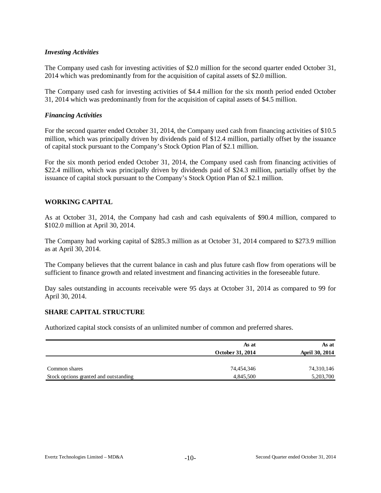### *Investing Activities*

The Company used cash for investing activities of \$2.0 million for the second quarter ended October 31, 2014 which was predominantly from for the acquisition of capital assets of \$2.0 million.

The Company used cash for investing activities of \$4.4 million for the six month period ended October 31, 2014 which was predominantly from for the acquisition of capital assets of \$4.5 million.

#### *Financing Activities*

For the second quarter ended October 31, 2014, the Company used cash from financing activities of \$10.5 million, which was principally driven by dividends paid of \$12.4 million, partially offset by the issuance of capital stock pursuant to the Company's Stock Option Plan of \$2.1 million.

For the six month period ended October 31, 2014, the Company used cash from financing activities of \$22.4 million, which was principally driven by dividends paid of \$24.3 million, partially offset by the issuance of capital stock pursuant to the Company's Stock Option Plan of \$2.1 million.

#### **WORKING CAPITAL**

As at October 31, 2014, the Company had cash and cash equivalents of \$90.4 million, compared to \$102.0 million at April 30, 2014.

The Company had working capital of \$285.3 million as at October 31, 2014 compared to \$273.9 million as at April 30, 2014.

The Company believes that the current balance in cash and plus future cash flow from operations will be sufficient to finance growth and related investment and financing activities in the foreseeable future.

Day sales outstanding in accounts receivable were 95 days at October 31, 2014 as compared to 99 for April 30, 2014.

#### **SHARE CAPITAL STRUCTURE**

Authorized capital stock consists of an unlimited number of common and preferred shares.

|                                       | As at<br>October 31, 2014 | As at<br>April 30, 2014 |
|---------------------------------------|---------------------------|-------------------------|
| Common shares                         | 74,454,346                | 74,310,146              |
| Stock options granted and outstanding | 4,845,500                 | 5,203,700               |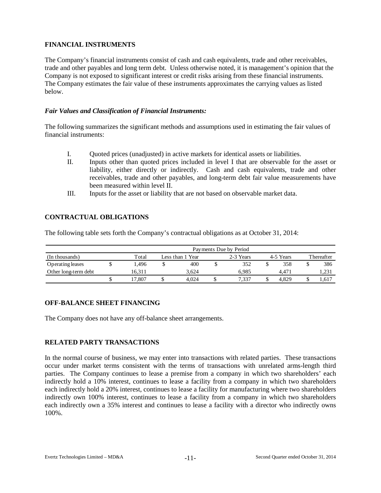# **FINANCIAL INSTRUMENTS**

The Company's financial instruments consist of cash and cash equivalents, trade and other receivables, trade and other payables and long term debt. Unless otherwise noted, it is management's opinion that the Company is not exposed to significant interest or credit risks arising from these financial instruments. The Company estimates the fair value of these instruments approximates the carrying values as listed below.

### *Fair Values and Classification of Financial Instruments:*

The following summarizes the significant methods and assumptions used in estimating the fair values of financial instruments:

- I. Quoted prices (unadjusted) in active markets for identical assets or liabilities.
- II. Inputs other than quoted prices included in level I that are observable for the asset or liability, either directly or indirectly. Cash and cash equivalents, trade and other receivables, trade and other payables, and long-term debt fair value measurements have been measured within level II.
- III. Inputs for the asset or liability that are not based on observable market data.

# **CONTRACTUAL OBLIGATIONS**

The following table sets forth the Company's contractual obligations as at October 31, 2014:

|                      | Payments Due by Period |  |                  |  |           |  |           |            |       |  |  |  |  |  |
|----------------------|------------------------|--|------------------|--|-----------|--|-----------|------------|-------|--|--|--|--|--|
| (In thousands)       | Total                  |  | Less than 1 Year |  | 2-3 Years |  | 4-5 Years | Thereafter |       |  |  |  |  |  |
| Operating leases     | .496                   |  | 400              |  | 352       |  | 358       |            | 386   |  |  |  |  |  |
| Other long-term debt | 16.311                 |  | 3.624            |  | 6.985     |  | 4.471     |            | 1,231 |  |  |  |  |  |
|                      | 17.807                 |  | 4.024            |  | 7.337     |  | 4.829     |            | 1,617 |  |  |  |  |  |

# **OFF-BALANCE SHEET FINANCING**

The Company does not have any off-balance sheet arrangements.

# **RELATED PARTY TRANSACTIONS**

In the normal course of business, we may enter into transactions with related parties. These transactions occur under market terms consistent with the terms of transactions with unrelated arms-length third parties. The Company continues to lease a premise from a company in which two shareholders' each indirectly hold a 10% interest, continues to lease a facility from a company in which two shareholders each indirectly hold a 20% interest, continues to lease a facility for manufacturing where two shareholders indirectly own 100% interest, continues to lease a facility from a company in which two shareholders each indirectly own a 35% interest and continues to lease a facility with a director who indirectly owns 100%.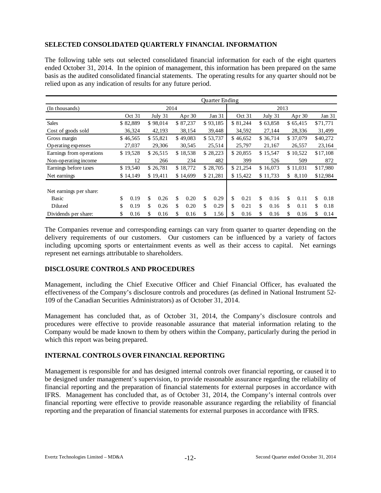# **SELECTED CONSOLIDATED QUARTERLY FINANCIAL INFORMATION**

The following table sets out selected consolidated financial information for each of the eight quarters ended October 31, 2014. In the opinion of management, this information has been prepared on the same basis as the audited consolidated financial statements. The operating results for any quarter should not be relied upon as any indication of results for any future period.

|                          |            |            |          |          |    | <b>Ouarter Ending</b> |    |          |    |          |    |          |    |          |
|--------------------------|------------|------------|----------|----------|----|-----------------------|----|----------|----|----------|----|----------|----|----------|
| (In thousands)           |            |            | 2014     |          |    |                       |    |          |    | 2013     |    |          |    |          |
|                          | Oct 31     | July 31    | Apr $30$ |          |    | Jan 31                |    | Oct 31   |    | July 31  |    | Apr $30$ |    | Jan 31   |
| <b>Sales</b>             | \$82,889   | \$98,014   |          | \$87,237 |    | \$93,185              |    | \$81,244 |    | \$63,858 |    | \$65,415 |    | \$71,771 |
| Cost of goods sold       | 36,324     | 42,193     |          | 38,154   |    | 39,448                |    | 34,592   |    | 27,144   |    | 28,336   |    | 31,499   |
| Gross margin             | \$46,565   | \$55,821   |          | \$49,083 |    | \$53,737              |    | \$46,652 |    | \$36,714 |    | \$37,079 |    | \$40,272 |
| Operating expenses       | 27,037     | 29,306     |          | 30,545   |    | 25,514                |    | 25,797   |    | 21,167   |    | 26,557   |    | 23,164   |
| Earnings from operations | \$19,528   | \$26,515   |          | \$18,538 |    | \$28,223              |    | \$20,855 |    | \$15,547 |    | \$10,522 |    | \$17,108 |
| Non-operating income     | 12         | 266        |          | 234      |    | 482                   |    | 399      |    | 526      |    | 509      |    | 872      |
| Earnings before taxes    | \$19,540   | \$26,781   |          | \$18,772 |    | \$28,705              |    | \$21,254 |    | \$16,073 |    | \$11.031 |    | \$17,980 |
| Net earnings             | \$14,149   | \$19,411   |          | \$14,699 |    | \$21,281              |    | \$15,422 |    | \$11,733 | \$ | 8,110    |    | \$12,984 |
| Net earnings per share:  |            |            |          |          |    |                       |    |          |    |          |    |          |    |          |
| Basic                    | \$<br>0.19 | \$<br>0.26 | \$       | 0.20     | \$ | 0.29                  | \$ | 0.21     | \$ | 0.16     | \$ | 0.11     | \$ | 0.18     |
| Diluted                  | \$<br>0.19 | \$<br>0.26 | \$       | 0.20     | \$ | 0.29                  | \$ | 0.21     | \$ | 0.16     | \$ | 0.11     | \$ | 0.18     |
| Dividends per share:     | \$<br>0.16 | \$<br>0.16 | \$       | 0.16     | \$ | 1.56                  | \$ | 0.16     | \$ | 0.16     | \$ | 0.16     | \$ | 0.14     |

The Companies revenue and corresponding earnings can vary from quarter to quarter depending on the delivery requirements of our customers. Our customers can be influenced by a variety of factors including upcoming sports or entertainment events as well as their access to capital. Net earnings represent net earnings attributable to shareholders.

### **DISCLOSURE CONTROLS AND PROCEDURES**

Management, including the Chief Executive Officer and Chief Financial Officer, has evaluated the effectiveness of the Company's disclosure controls and procedures (as defined in National Instrument 52- 109 of the Canadian Securities Administrators) as of October 31, 2014.

Management has concluded that, as of October 31, 2014, the Company's disclosure controls and procedures were effective to provide reasonable assurance that material information relating to the Company would be made known to them by others within the Company, particularly during the period in which this report was being prepared.

### **INTERNAL CONTROLS OVER FINANCIAL REPORTING**

Management is responsible for and has designed internal controls over financial reporting, or caused it to be designed under management's supervision, to provide reasonable assurance regarding the reliability of financial reporting and the preparation of financial statements for external purposes in accordance with IFRS. Management has concluded that, as of October 31, 2014, the Company's internal controls over financial reporting were effective to provide reasonable assurance regarding the reliability of financial reporting and the preparation of financial statements for external purposes in accordance with IFRS.